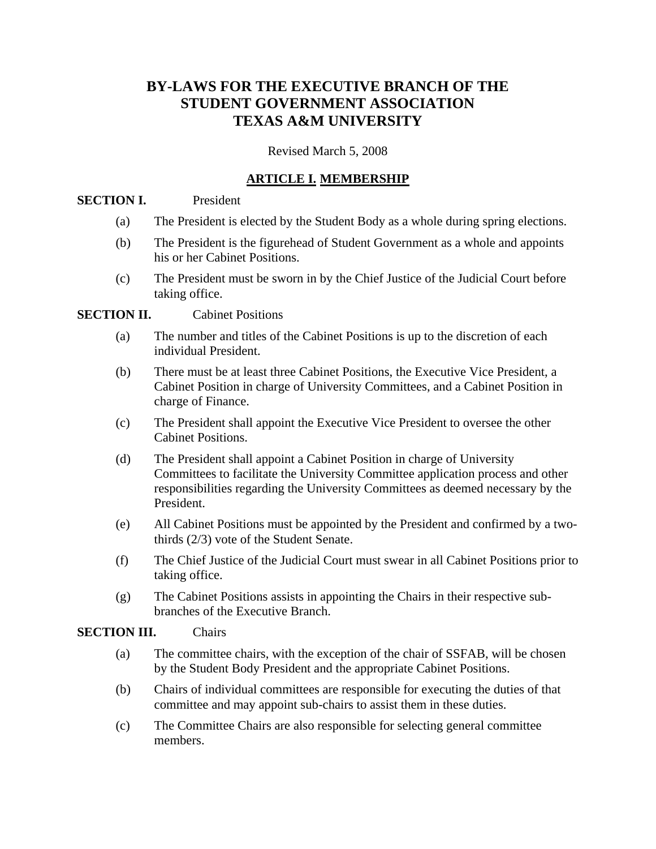# **BY-LAWS FOR THE EXECUTIVE BRANCH OF THE STUDENT GOVERNMENT ASSOCIATION TEXAS A&M UNIVERSITY**

Revised March 5, 2008

## **ARTICLE I. MEMBERSHIP**

#### **SECTION I.** President

- (a) The President is elected by the Student Body as a whole during spring elections.
- (b) The President is the figurehead of Student Government as a whole and appoints his or her Cabinet Positions.
- (c) The President must be sworn in by the Chief Justice of the Judicial Court before taking office.

## **SECTION II.** Cabinet Positions

- (a) The number and titles of the Cabinet Positions is up to the discretion of each individual President.
- (b) There must be at least three Cabinet Positions, the Executive Vice President, a Cabinet Position in charge of University Committees, and a Cabinet Position in charge of Finance.
- (c) The President shall appoint the Executive Vice President to oversee the other Cabinet Positions.
- (d) The President shall appoint a Cabinet Position in charge of University Committees to facilitate the University Committee application process and other responsibilities regarding the University Committees as deemed necessary by the President.
- (e) All Cabinet Positions must be appointed by the President and confirmed by a twothirds (2/3) vote of the Student Senate.
- (f) The Chief Justice of the Judicial Court must swear in all Cabinet Positions prior to taking office.
- (g) The Cabinet Positions assists in appointing the Chairs in their respective subbranches of the Executive Branch.

#### **SECTION III.** Chairs

- (a) The committee chairs, with the exception of the chair of SSFAB, will be chosen by the Student Body President and the appropriate Cabinet Positions.
- (b) Chairs of individual committees are responsible for executing the duties of that committee and may appoint sub-chairs to assist them in these duties.
- (c) The Committee Chairs are also responsible for selecting general committee members.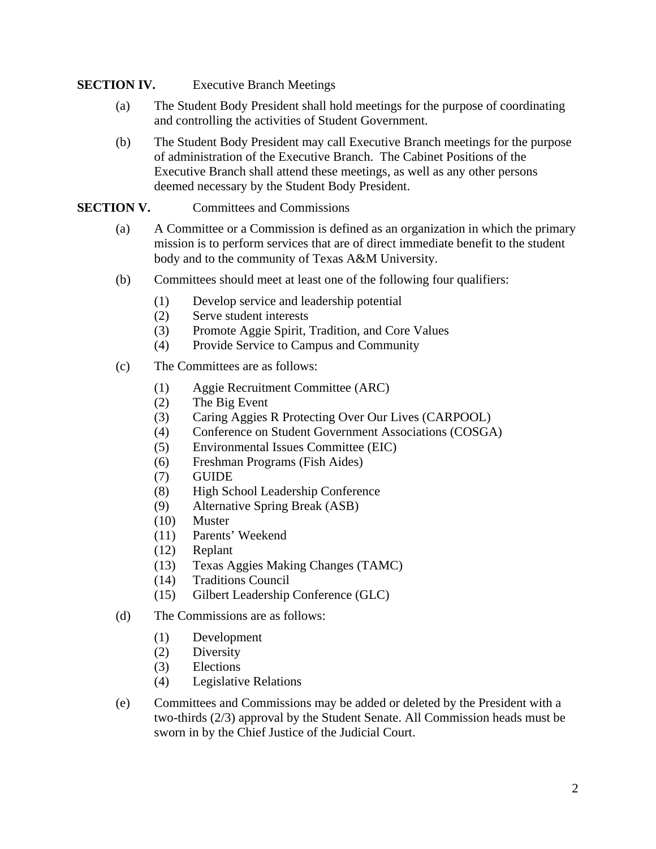#### **SECTION IV.** Executive Branch Meetings

- (a) The Student Body President shall hold meetings for the purpose of coordinating and controlling the activities of Student Government.
- (b) The Student Body President may call Executive Branch meetings for the purpose of administration of the Executive Branch. The Cabinet Positions of the Executive Branch shall attend these meetings, as well as any other persons deemed necessary by the Student Body President.

#### **SECTION V.** Committees and Commissions

- (a) A Committee or a Commission is defined as an organization in which the primary mission is to perform services that are of direct immediate benefit to the student body and to the community of Texas A&M University.
- (b) Committees should meet at least one of the following four qualifiers:
	- (1) Develop service and leadership potential
	- (2) Serve student interests
	- (3) Promote Aggie Spirit, Tradition, and Core Values
	- (4) Provide Service to Campus and Community
- (c) The Committees are as follows:
	- (1) Aggie Recruitment Committee (ARC)
	- (2) The Big Event
	- (3) Caring Aggies R Protecting Over Our Lives (CARPOOL)
	- (4) Conference on Student Government Associations (COSGA)
	- (5) Environmental Issues Committee (EIC)
	- (6) Freshman Programs (Fish Aides)
	- (7) GUIDE
	- (8) High School Leadership Conference
	- (9) Alternative Spring Break (ASB)
	- (10) Muster
	- (11) Parents' Weekend
	- (12) Replant
	- (13) Texas Aggies Making Changes (TAMC)
	- (14) Traditions Council
	- (15) Gilbert Leadership Conference (GLC)
- (d) The Commissions are as follows:
	- (1) Development
	- (2) Diversity
	- (3) Elections
	- (4) Legislative Relations
- (e) Committees and Commissions may be added or deleted by the President with a two-thirds (2/3) approval by the Student Senate. All Commission heads must be sworn in by the Chief Justice of the Judicial Court.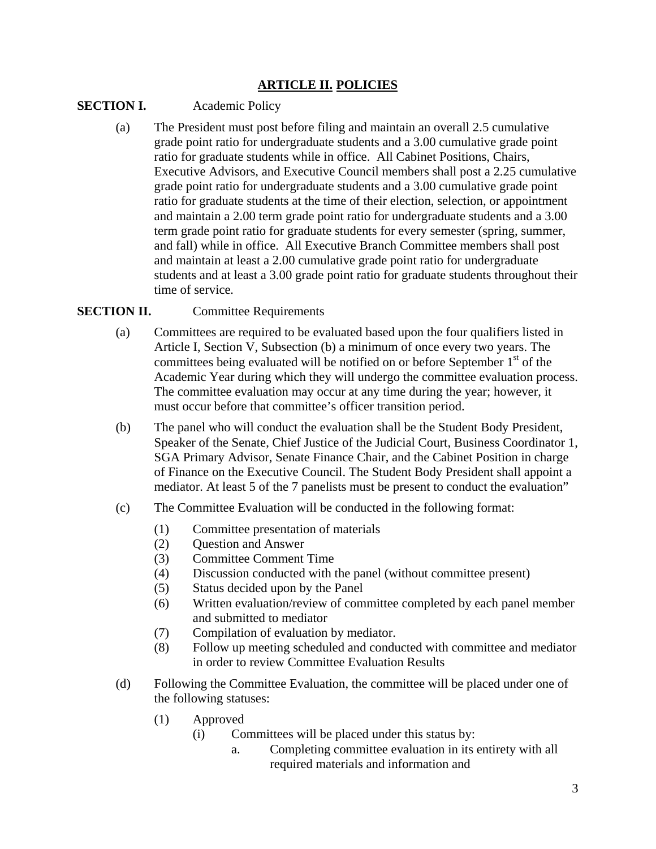## **ARTICLE II. POLICIES**

#### **SECTION I.** Academic Policy

(a) The President must post before filing and maintain an overall 2.5 cumulative grade point ratio for undergraduate students and a 3.00 cumulative grade point ratio for graduate students while in office. All Cabinet Positions, Chairs, Executive Advisors, and Executive Council members shall post a 2.25 cumulative grade point ratio for undergraduate students and a 3.00 cumulative grade point ratio for graduate students at the time of their election, selection, or appointment and maintain a 2.00 term grade point ratio for undergraduate students and a 3.00 term grade point ratio for graduate students for every semester (spring, summer, and fall) while in office. All Executive Branch Committee members shall post and maintain at least a 2.00 cumulative grade point ratio for undergraduate students and at least a 3.00 grade point ratio for graduate students throughout their time of service*.*

#### **SECTION II.** Committee Requirements

- (a) Committees are required to be evaluated based upon the four qualifiers listed in Article I, Section V, Subsection (b) a minimum of once every two years. The committees being evaluated will be notified on or before September  $1<sup>st</sup>$  of the Academic Year during which they will undergo the committee evaluation process. The committee evaluation may occur at any time during the year; however, it must occur before that committee's officer transition period.
- (b) The panel who will conduct the evaluation shall be the Student Body President, Speaker of the Senate, Chief Justice of the Judicial Court, Business Coordinator 1, SGA Primary Advisor, Senate Finance Chair, and the Cabinet Position in charge of Finance on the Executive Council. The Student Body President shall appoint a mediator. At least 5 of the 7 panelists must be present to conduct the evaluation"
- (c) The Committee Evaluation will be conducted in the following format:
	- (1) Committee presentation of materials
	- (2) Question and Answer
	- (3) Committee Comment Time
	- (4) Discussion conducted with the panel (without committee present)
	- (5) Status decided upon by the Panel
	- (6) Written evaluation/review of committee completed by each panel member and submitted to mediator
	- (7) Compilation of evaluation by mediator.
	- (8) Follow up meeting scheduled and conducted with committee and mediator in order to review Committee Evaluation Results
- (d) Following the Committee Evaluation, the committee will be placed under one of the following statuses:
	- (1) Approved
		- (i) Committees will be placed under this status by:
			- a. Completing committee evaluation in its entirety with all required materials and information and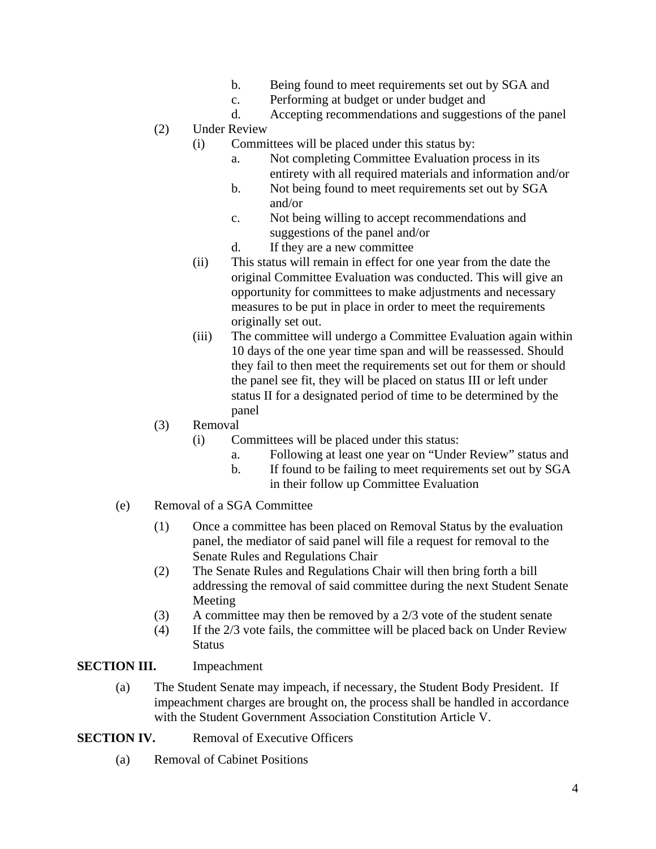- b. Being found to meet requirements set out by SGA and
- c. Performing at budget or under budget and
- d. Accepting recommendations and suggestions of the panel

#### (2) Under Review

- (i) Committees will be placed under this status by:
	- a. Not completing Committee Evaluation process in its entirety with all required materials and information and/or
	- b. Not being found to meet requirements set out by SGA and/or
	- c. Not being willing to accept recommendations and suggestions of the panel and/or
	- d. If they are a new committee
- (ii) This status will remain in effect for one year from the date the original Committee Evaluation was conducted. This will give an opportunity for committees to make adjustments and necessary measures to be put in place in order to meet the requirements originally set out.
- (iii) The committee will undergo a Committee Evaluation again within 10 days of the one year time span and will be reassessed. Should they fail to then meet the requirements set out for them or should the panel see fit, they will be placed on status III or left under status II for a designated period of time to be determined by the panel

#### (3) Removal

- (i) Committees will be placed under this status:
	- a. Following at least one year on "Under Review" status and
	- b. If found to be failing to meet requirements set out by SGA
		- in their follow up Committee Evaluation
- (e) Removal of a SGA Committee
	- (1) Once a committee has been placed on Removal Status by the evaluation panel, the mediator of said panel will file a request for removal to the Senate Rules and Regulations Chair
	- (2) The Senate Rules and Regulations Chair will then bring forth a bill addressing the removal of said committee during the next Student Senate Meeting
	- (3) A committee may then be removed by a 2/3 vote of the student senate
	- (4) If the 2/3 vote fails, the committee will be placed back on Under Review **Status**

#### **SECTION III.** Impeachment

(a) The Student Senate may impeach, if necessary, the Student Body President. If impeachment charges are brought on, the process shall be handled in accordance with the Student Government Association Constitution Article V.

#### **SECTION IV.** Removal of Executive Officers

(a) Removal of Cabinet Positions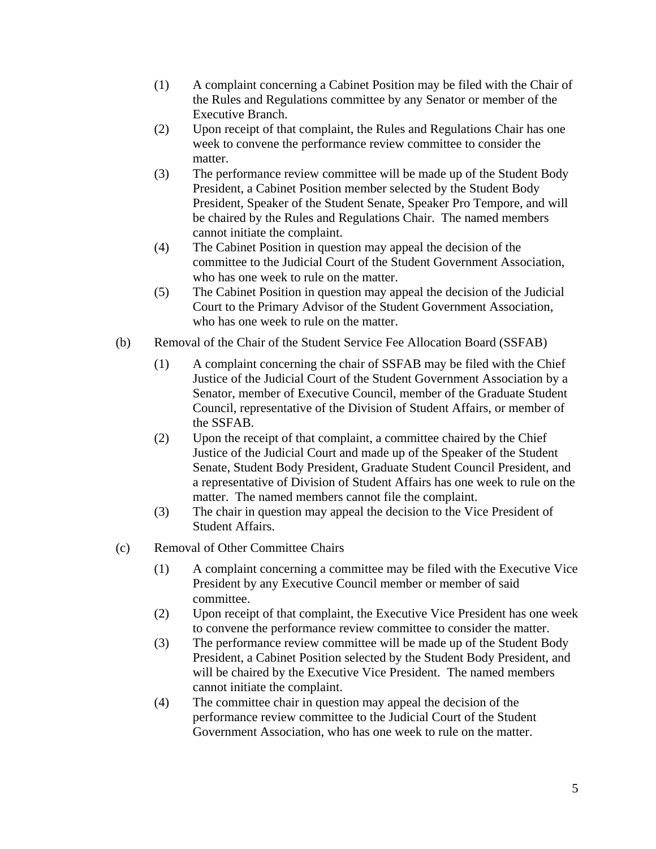- (1) A complaint concerning a Cabinet Position may be filed with the Chair of the Rules and Regulations committee by any Senator or member of the Executive Branch.
- (2) Upon receipt of that complaint, the Rules and Regulations Chair has one week to convene the performance review committee to consider the matter.
- (3) The performance review committee will be made up of the Student Body President, a Cabinet Position member selected by the Student Body President, Speaker of the Student Senate, Speaker Pro Tempore, and will be chaired by the Rules and Regulations Chair. The named members cannot initiate the complaint.
- (4) The Cabinet Position in question may appeal the decision of the committee to the Judicial Court of the Student Government Association, who has one week to rule on the matter.
- (5) The Cabinet Position in question may appeal the decision of the Judicial Court to the Primary Advisor of the Student Government Association, who has one week to rule on the matter.
- (b) Removal of the Chair of the Student Service Fee Allocation Board (SSFAB)
	- (1) A complaint concerning the chair of SSFAB may be filed with the Chief Justice of the Judicial Court of the Student Government Association by a Senator, member of Executive Council, member of the Graduate Student Council, representative of the Division of Student Affairs, or member of the SSFAB.
	- (2) Upon the receipt of that complaint, a committee chaired by the Chief Justice of the Judicial Court and made up of the Speaker of the Student Senate, Student Body President, Graduate Student Council President, and a representative of Division of Student Affairs has one week to rule on the matter. The named members cannot file the complaint.
	- (3) The chair in question may appeal the decision to the Vice President of Student Affairs.
- (c) Removal of Other Committee Chairs
	- (1) A complaint concerning a committee may be filed with the Executive Vice President by any Executive Council member or member of said committee.
	- (2) Upon receipt of that complaint, the Executive Vice President has one week to convene the performance review committee to consider the matter.
	- (3) The performance review committee will be made up of the Student Body President, a Cabinet Position selected by the Student Body President, and will be chaired by the Executive Vice President. The named members cannot initiate the complaint.
	- (4) The committee chair in question may appeal the decision of the performance review committee to the Judicial Court of the Student Government Association, who has one week to rule on the matter.